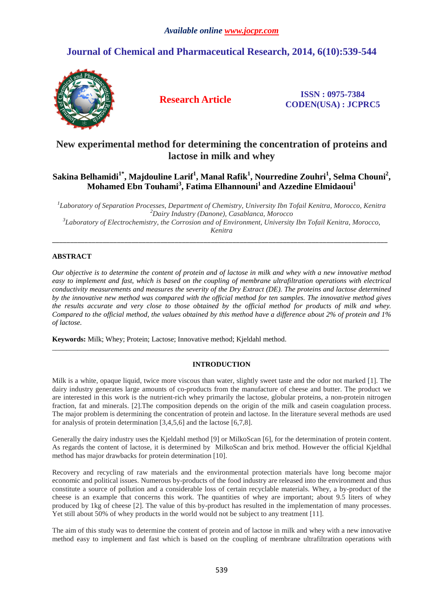# **Journal of Chemical and Pharmaceutical Research, 2014, 6(10):539-544**



**Research Article ISSN : 0975-7384 CODEN(USA) : JCPRC5**

# **New experimental method for determining the concentration of proteins and lactose in milk and whey**

# $\boldsymbol{\delta}$ Sakina Belhamidi $^1$ \*, Majdouline Larif $^1$ , Manal Rafik $^1$ , Nourredine Zouhri $^1$ , Selma Chouni $^2$ , **Mohamed Ebn Touhami<sup>3</sup> , Fatima Elhannouni<sup>1</sup>and Azzedine Elmidaoui<sup>1</sup>**

 *Laboratory of Separation Processes, Department of Chemistry, University Ibn Tofail Kenitra, Morocco, Kenitra Dairy Industry (Danone), Casablanca, Morocco Laboratory of Electrochemistry, the Corrosion and of Environment, University Ibn Tofail Kenitra, Morocco, Kenitra* 

\_\_\_\_\_\_\_\_\_\_\_\_\_\_\_\_\_\_\_\_\_\_\_\_\_\_\_\_\_\_\_\_\_\_\_\_\_\_\_\_\_\_\_\_\_\_\_\_\_\_\_\_\_\_\_\_\_\_\_\_\_\_\_\_\_\_\_\_\_\_\_\_\_\_\_\_\_\_\_\_\_\_\_\_\_\_\_\_\_\_\_\_\_

# **ABSTRACT**

*Our objective is to determine the content of protein and of lactose in milk and whey with a new innovative method easy to implement and fast, which is based on the coupling of membrane ultrafiltration operations with electrical conductivity measurements and measures the severity of the Dry Extract (DE). The proteins and lactose determined by the innovative new method was compared with the official method for ten samples. The innovative method gives the results accurate and very close to those obtained by the official method for products of milk and whey. Compared to the official method, the values obtained by this method have a difference about 2% of protein and 1% of lactose.* 

**Keywords:** Milk; Whey; Protein; Lactose; Innovative method; Kjeldahl method.

## **INTRODUCTION**

 $\overline{a}$  , and the contribution of the contribution of the contribution of the contribution of the contribution of the contribution of the contribution of the contribution of the contribution of the contribution of the co

Milk is a white, opaque liquid, twice more viscous than water, slightly sweet taste and the odor not marked [1]. The dairy industry generates large amounts of co-products from the manufacture of cheese and butter. The product we are interested in this work is the nutrient-rich whey primarily the lactose, globular proteins, a non-protein nitrogen fraction, fat and minerals. [2].The composition depends on the origin of the milk and casein coagulation process. The major problem is determining the concentration of protein and lactose. In the literature several methods are used for analysis of protein determination [3,4,5,6] and the lactose [6,7,8].

Generally the dairy industry uses the Kjeldahl method [9] or MilkoScan [6], for the determination of protein content. As regards the content of lactose, it is determined by MilkoScan and brix method. However the official Kjeldhal method has major drawbacks for protein determination [10].

Recovery and recycling of raw materials and the environmental protection materials have long become major economic and political issues. Numerous by-products of the food industry are released into the environment and thus constitute a source of pollution and a considerable loss of certain recyclable materials. Whey, a by-product of the cheese is an example that concerns this work. The quantities of whey are important; about 9.5 liters of whey produced by 1kg of cheese [2]. The value of this by-product has resulted in the implementation of many processes. Yet still about 50% of whey products in the world would not be subject to any treatment [11].

The aim of this study was to determine the content of protein and of lactose in milk and whey with a new innovative method easy to implement and fast which is based on the coupling of membrane ultrafiltration operations with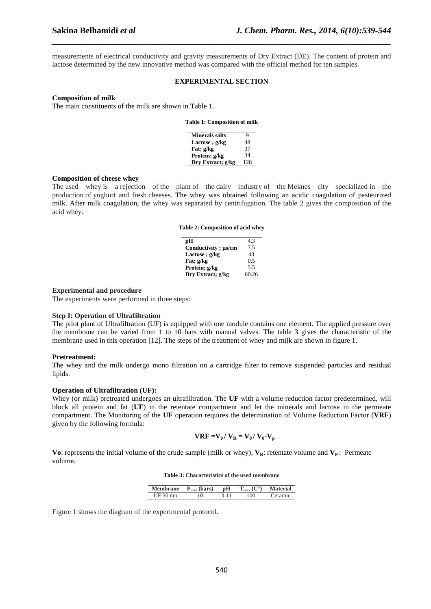measurements of electrical conductivity and gravity measurements of Dry Extract (DE). The content of protein and lactose determined by the new innovative method was compared with the official method for ten samples.

*\_\_\_\_\_\_\_\_\_\_\_\_\_\_\_\_\_\_\_\_\_\_\_\_\_\_\_\_\_\_\_\_\_\_\_\_\_\_\_\_\_\_\_\_\_\_\_\_\_\_\_\_\_\_\_\_\_\_\_\_\_\_\_\_\_\_\_\_\_\_\_\_\_\_\_\_\_\_*

#### **EXPERIMENTAL SECTION**

# **Composition of milk**

The main constituents of the milk are shown in Table 1.

| Table 1: Composition of milk |  |  |  |
|------------------------------|--|--|--|
|------------------------------|--|--|--|

| <b>Minerals salts</b> | 9   |
|-----------------------|-----|
| Lactose; g/kg         | 48  |
| Fat; g/kg             | 37  |
| Protein; g/kg         | 34  |
| Dry Extract; g/kg     | 128 |
|                       |     |

## **Composition of cheese whey**

The used whey is a rejection of the plant of the dairy industry of the Meknes city specialized in the production of yoghurt and fresh cheeses. The whey was obtained following an acidic coagulation of pasteurized milk. After milk coagulation, the whey was separated by centrifugation. The table 2 gives the composition of the acid whey.

|  | Table 2: Composition of acid whey |  |  |
|--|-----------------------------------|--|--|
|--|-----------------------------------|--|--|

| рH                  | 43    |
|---------------------|-------|
| Conductivity; µs/cm | 7.5   |
| Lactose; $g/kg$     | 43    |
| Fat; g/kg           | 0.5   |
| Protein; g/kg       | 5.5   |
| Dry Extract; g/kg   | 60.26 |

## **Experimental and procedure**

The experiments were performed in three steps:

## **Step I: Operation of Ultrafiltration**

The pilot plant of Ultrafiltration (UF) is equipped with one module contains one element. The applied pressure over the membrane can be varied from 1 to 10 bars with manual valves. The table 3 gives the characteristic of the membrane used in this operation [12]. The steps of the treatment of whey and milk are shown in figure 1.

### **Pretreatment:**

The whey and the milk undergo mono filtration on a cartridge filter to remove suspended particles and residual lipids.

## **Operation of Ultrafiltration (UF):**

Whey (or milk) pretreated undergoes an ultrafiltration. The **UF** with a volume reduction factor predetermined, will block all protein and fat (**UF**) in the retentate compartment and let the minerals and lactose in the permeate compartment. The Monitoring of the **UF** operation requires the determination of Volume Reduction Factor (**VRF**) given by the following formula:

$$
VRF = V_0 / V_R = V_0 / V_0 - V_p
$$

**Vo**: represents the initial volume of the crude sample (milk or whey),  $V_R$ : retentate volume and  $V_P$ : Permeate volume.

**Table 3: Characteristics of the used membrane** 

| <b>Membrane</b> | $P_{\text{max}}$ (bars) | рH | ٦ΟΓ | <b>Material</b> |
|-----------------|-------------------------|----|-----|-----------------|
| UF 50 nm        |                         |    | 100 | eramıc          |

Figure 1 shows the diagram of the experimental protocol.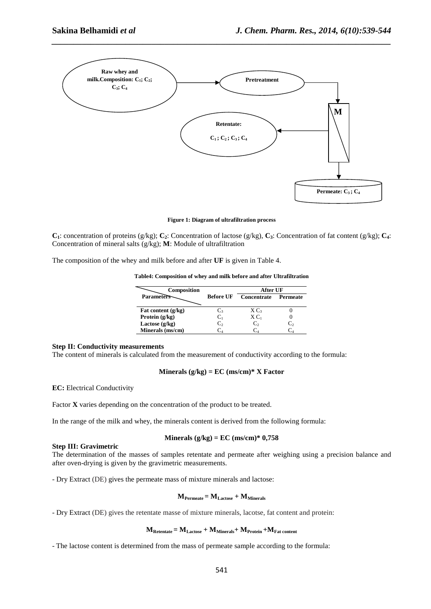

*\_\_\_\_\_\_\_\_\_\_\_\_\_\_\_\_\_\_\_\_\_\_\_\_\_\_\_\_\_\_\_\_\_\_\_\_\_\_\_\_\_\_\_\_\_\_\_\_\_\_\_\_\_\_\_\_\_\_\_\_\_\_\_\_\_\_\_\_\_\_\_\_\_\_\_\_\_\_*

**Figure 1: Diagram of ultrafiltration process** 

**C**<sub>1</sub>: concentration of proteins (g/kg); **C**<sub>2</sub>: Concentration of lactose (g/kg), **C**<sub>3</sub>: Concentration of fat content (g/kg); **C**<sub>4</sub>: Concentration of mineral salts (g/kg); **M**: Module of ultrafiltration

The composition of the whey and milk before and after **UF** is given in Table 4.

|  |  | Table4: Composition of whey and milk before and after Ultrafiltration |
|--|--|-----------------------------------------------------------------------|
|  |  |                                                                       |

| Composition          |                  | After UF                  |                 |  |
|----------------------|------------------|---------------------------|-----------------|--|
| <b>Parameters</b>    | <b>Before UF</b> | Concentrate               | <b>Permeate</b> |  |
| Fat content $(g/kg)$ | C3               | $X C_3$                   |                 |  |
| Protein (g/kg)       | $C_1$            | $X C_1$                   |                 |  |
| Lactose $(g/kg)$     | C,               | $\mathbf{C}^{\mathbf{2}}$ | С,              |  |
| Minerals (ms/cm)     |                  |                           |                 |  |

# **Step II: Conductivity measurements**

The content of minerals is calculated from the measurement of conductivity according to the formula:

Minerals 
$$
(g/kg) = EC (ms/cm)*X Factor
$$

**EC:** Electrical Conductivity

Factor **X** varies depending on the concentration of the product to be treated.

In the range of the milk and whey, the minerals content is derived from the following formula:

#### **Minerals (g/kg) = EC (ms/cm)\* 0,758**

## **Step III: Gravimetric**

The determination of the masses of samples retentate and permeate after weighing using a precision balance and after oven-drying is given by the gravimetric measurements.

- Dry Extract (DE) gives the permeate mass of mixture minerals and lactose:

$$
M_{Permeate}\,{=}\,M_{Lactose}+M_{Minerals}
$$

- Dry Extract (DE) gives the retentate masse of mixture minerals, lacotse, fat content and protein:

# $M_{\text{Retentate}} = M_{\text{Lactose}} + M_{\text{Minerals}} + M_{\text{Protein}} + M_{\text{Fat content}}$

- The lactose content is determined from the mass of permeate sample according to the formula: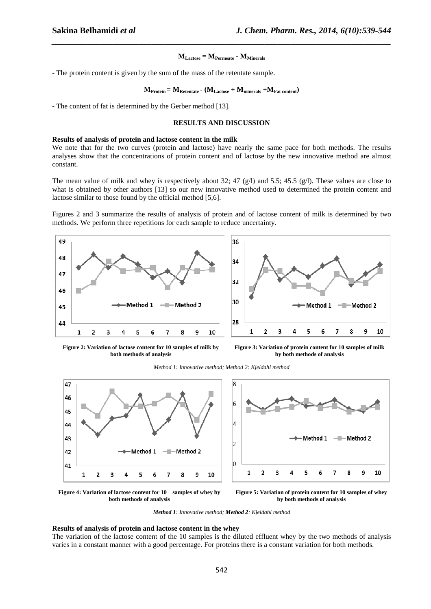## $M_{\text{Lactose}} = M_{\text{Permeate}} \cdot M_{\text{Minerals}}$

*\_\_\_\_\_\_\_\_\_\_\_\_\_\_\_\_\_\_\_\_\_\_\_\_\_\_\_\_\_\_\_\_\_\_\_\_\_\_\_\_\_\_\_\_\_\_\_\_\_\_\_\_\_\_\_\_\_\_\_\_\_\_\_\_\_\_\_\_\_\_\_\_\_\_\_\_\_\_*

**-** The protein content is given by the sum of the mass of the retentate sample.

$$
M_{\text{Protein}} = M_{\text{Retentate}} - (M_{\text{Lactose}} + M_{\text{minerals}} + M_{\text{Fat content}})
$$

**-** The content of fat is determined by the Gerber method [13].

# **RESULTS AND DISCUSSION**

## **Results of analysis of protein and lactose content in the milk**

We note that for the two curves (protein and lactose) have nearly the same pace for both methods. The results analyses show that the concentrations of protein content and of lactose by the new innovative method are almost constant.

The mean value of milk and whey is respectively about 32; 47 (g/l) and 5.5; 45.5 (g/l). These values are close to what is obtained by other authors [13] so our new innovative method used to determined the protein content and lactose similar to those found by the official method [5,6].

Figures 2 and 3 summarize the results of analysis of protein and of lactose content of milk is determined by two methods. We perform three repetitions for each sample to reduce uncertainty.





**Figure 2: Variation of lactose content for 10 samples of milk by both methods of analysis** 

**Figure 3: Variation of protein content for 10 samples of milk by both methods of analysis** 







**Figure 4: Variation of lactose content for 10 samples of whey by both methods of analysis** 

**Figure 5: Variation of protein content for 10 samples of whey by both methods of analysis** 

*Method 1: Innovative method; Method 2: Kjeldahl method* 

## **Results of analysis of protein and lactose content in the whey**

The variation of the lactose content of the 10 samples is the diluted effluent whey by the two methods of analysis varies in a constant manner with a good percentage. For proteins there is a constant variation for both methods.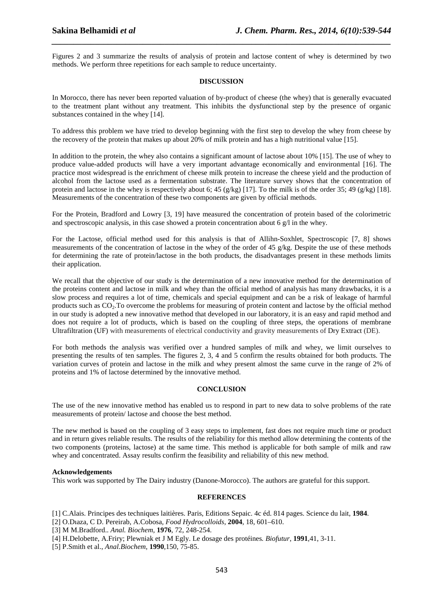Figures 2 and 3 summarize the results of analysis of protein and lactose content of whey is determined by two methods. We perform three repetitions for each sample to reduce uncertainty.

*\_\_\_\_\_\_\_\_\_\_\_\_\_\_\_\_\_\_\_\_\_\_\_\_\_\_\_\_\_\_\_\_\_\_\_\_\_\_\_\_\_\_\_\_\_\_\_\_\_\_\_\_\_\_\_\_\_\_\_\_\_\_\_\_\_\_\_\_\_\_\_\_\_\_\_\_\_\_*

## **DISCUSSION**

In Morocco, there has never been reported valuation of by-product of cheese (the whey) that is generally evacuated to the treatment plant without any treatment. This inhibits the dysfunctional step by the presence of organic substances contained in the whey [14].

To address this problem we have tried to develop beginning with the first step to develop the whey from cheese by the recovery of the protein that makes up about 20% of milk protein and has a high nutritional value [15].

In addition to the protein, the whey also contains a significant amount of lactose about 10% [15]. The use of whey to produce value-added products will have a very important advantage economically and environmental [16]. The practice most widespread is the enrichment of cheese milk protein to increase the cheese yield and the production of alcohol from the lactose used as a fermentation substrate. The literature survey shows that the concentration of protein and lactose in the whey is respectively about 6; 45 (g/kg) [17]. To the milk is of the order 35; 49 (g/kg) [18]. Measurements of the concentration of these two components are given by official methods.

For the Protein, Bradford and Lowry [3, 19] have measured the concentration of protein based of the colorimetric and spectroscopic analysis, in this case showed a protein concentration about 6  $g/l$  in the whey.

For the Lactose, official method used for this analysis is that of Allihn-Soxhlet, Spectroscopic [7, 8] shows measurements of the concentration of lactose in the whey of the order of 45 g/kg. Despite the use of these methods for determining the rate of protein/lactose in the both products, the disadvantages present in these methods limits their application.

We recall that the objective of our study is the determination of a new innovative method for the determination of the proteins content and lactose in milk and whey than the official method of analysis has many drawbacks, it is a slow process and requires a lot of time, chemicals and special equipment and can be a risk of leakage of harmful products such as CO2.To overcome the problems for measuring of protein content and lactose by the official method in our study is adopted a new innovative method that developed in our laboratory, it is an easy and rapid method and does not require a lot of products, which is based on the coupling of three steps, the operations of membrane Ultrafiltration (UF) with measurements of electrical conductivity and gravity measurements of Dry Extract (DE).

For both methods the analysis was verified over a hundred samples of milk and whey, we limit ourselves to presenting the results of ten samples. The figures 2, 3, 4 and 5 confirm the results obtained for both products. The variation curves of protein and lactose in the milk and whey present almost the same curve in the range of 2% of proteins and 1% of lactose determined by the innovative method.

## **CONCLUSION**

The use of the new innovative method has enabled us to respond in part to new data to solve problems of the rate measurements of protein/ lactose and choose the best method.

The new method is based on the coupling of 3 easy steps to implement, fast does not require much time or product and in return gives reliable results. The results of the reliability for this method allow determining the contents of the two components (proteins, lactose) at the same time. This method is applicable for both sample of milk and raw whey and concentrated. Assay results confirm the feasibility and reliability of this new method.

## **Acknowledgements**

This work was supported by The Dairy industry (Danone-Morocco). The authors are grateful for this support.

## **REFERENCES**

[1] C.Alais. Principes des techniques laitières. Paris, Editions Sepaic. 4c éd. 814 pages. Science du lait, **1984**.

[2] O.Dıaza, C D. Pereirab, A.Cobosa*, Food Hydrocolloids*, **2004**, 18, 601–610.

[3] M M.Bradford.. *Anal. Biochem*, **1976**, 72, 248-254.

[4] H.Delobette, A.Friry; Plewniak et J M Egly. Le dosage des protéines*. Biofutur*, **1991**,41, 3-11.

[5] P.Smith et al., *Anal.Biochem*, **1990**,150, 75-85.